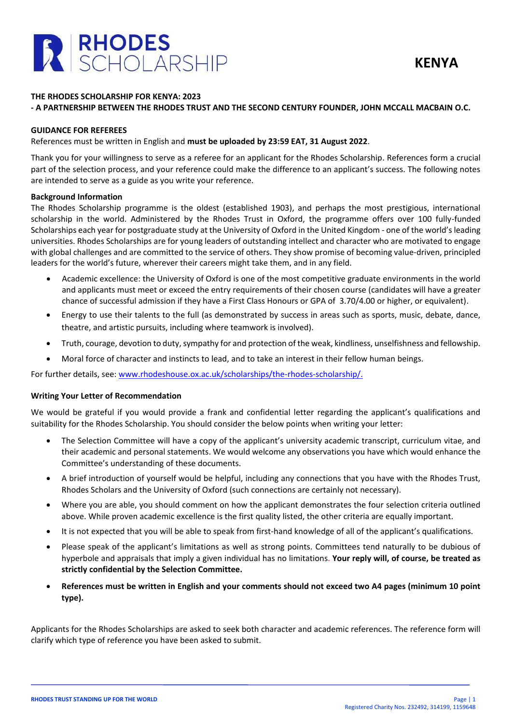

# **THE RHODES SCHOLARSHIP FOR KENYA: 2023**

# **- A PARTNERSHIP BETWEEN THE RHODES TRUST AND THE SECOND CENTURY FOUNDER, JOHN MCCALL MACBAIN O.C.**

#### **GUIDANCE FOR REFEREES**

References must be written in English and **must be uploaded by 23:59 EAT, 31 August 2022**.

Thank you for your willingness to serve as a referee for an applicant for the Rhodes Scholarship. References form a crucial part of the selection process, and your reference could make the difference to an applicant's success. The following notes are intended to serve as a guide as you write your reference.

### **Background Information**

The Rhodes Scholarship programme is the oldest (established 1903), and perhaps the most prestigious, international scholarship in the world. Administered by the Rhodes Trust in Oxford, the programme offers over 100 fully-funded Scholarships each year for postgraduate study at the University of Oxford in the United Kingdom - one of the world's leading universities. Rhodes Scholarships are for young leaders of outstanding intellect and character who are motivated to engage with global challenges and are committed to the service of others. They show promise of becoming value-driven, principled leaders for the world's future, wherever their careers might take them, and in any field.

- Academic excellence: the University of Oxford is one of the most competitive graduate environments in the world and applicants must meet or exceed the entry requirements of their chosen course (candidates will have a greater chance of successful admission if they have a First Class Honours or GPA of 3.70/4.00 or higher, or equivalent).
- Energy to use their talents to the full (as demonstrated by success in areas such as sports, music, debate, dance, theatre, and artistic pursuits, including where teamwork is involved).
- Truth, courage, devotion to duty, sympathy for and protection of the weak, kindliness, unselfishness and fellowship.
- Moral force of character and instincts to lead, and to take an interest in their fellow human beings.

For further details, see: [www.rhodeshouse.ox.ac.uk/scholarships/the-rhodes-scholarship/.](http://www.rhodeshouse.ox.ac.uk/scholarships/the-rhodes-scholarship/)

# **Writing Your Letter of Recommendation**

We would be grateful if you would provide a frank and confidential letter regarding the applicant's qualifications and suitability for the Rhodes Scholarship. You should consider the below points when writing your letter:

- The Selection Committee will have a copy of the applicant's university academic transcript, curriculum vitae, and their academic and personal statements. We would welcome any observations you have which would enhance the Committee's understanding of these documents.
- A brief introduction of yourself would be helpful, including any connections that you have with the Rhodes Trust, Rhodes Scholars and the University of Oxford (such connections are certainly not necessary).
- Where you are able, you should comment on how the applicant demonstrates the four selection criteria outlined above. While proven academic excellence is the first quality listed, the other criteria are equally important.
- It is not expected that you will be able to speak from first-hand knowledge of all of the applicant's qualifications.
- Please speak of the applicant's limitations as well as strong points. Committees tend naturally to be dubious of hyperbole and appraisals that imply a given individual has no limitations. **Your reply will, of course, be treated as strictly confidential by the Selection Committee.**
- **References must be written in English and your comments should not exceed two A4 pages (minimum 10 point type).**

Applicants for the Rhodes Scholarships are asked to seek both character and academic references. The reference form will clarify which type of reference you have been asked to submit.